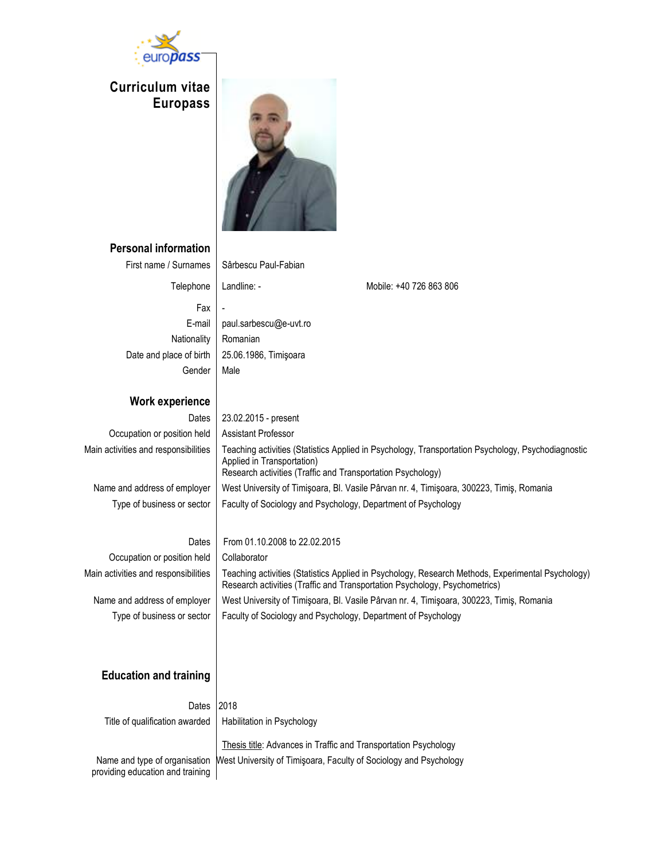

## **Curriculum vitae Europass**



# **Personal information**

| First name / Surnames                                             | Sârbescu Paul-Fabian                                                                                                                                                                            |                                                                                                                                                                                 |  |
|-------------------------------------------------------------------|-------------------------------------------------------------------------------------------------------------------------------------------------------------------------------------------------|---------------------------------------------------------------------------------------------------------------------------------------------------------------------------------|--|
| Telephone                                                         | Landline: -                                                                                                                                                                                     | Mobile: +40 726 863 806                                                                                                                                                         |  |
| Fax                                                               |                                                                                                                                                                                                 |                                                                                                                                                                                 |  |
| E-mail                                                            | paul.sarbescu@e-uvt.ro                                                                                                                                                                          |                                                                                                                                                                                 |  |
| Nationality                                                       | Romanian                                                                                                                                                                                        |                                                                                                                                                                                 |  |
| Date and place of birth                                           | 25.06.1986, Timişoara                                                                                                                                                                           |                                                                                                                                                                                 |  |
| Gender                                                            | Male                                                                                                                                                                                            |                                                                                                                                                                                 |  |
| <b>Work experience</b>                                            |                                                                                                                                                                                                 |                                                                                                                                                                                 |  |
| Dates                                                             | 23.02.2015 - present                                                                                                                                                                            |                                                                                                                                                                                 |  |
| Occupation or position held                                       | Assistant Professor                                                                                                                                                                             |                                                                                                                                                                                 |  |
| Main activities and responsibilities                              | Teaching activities (Statistics Applied in Psychology, Transportation Psychology, Psychodiagnostic<br>Applied in Transportation)<br>Research activities (Traffic and Transportation Psychology) |                                                                                                                                                                                 |  |
| Name and address of employer                                      | West University of Timişoara, Bl. Vasile Pârvan nr. 4, Timişoara, 300223, Timiş, Romania                                                                                                        |                                                                                                                                                                                 |  |
| Type of business or sector                                        | Faculty of Sociology and Psychology, Department of Psychology                                                                                                                                   |                                                                                                                                                                                 |  |
|                                                                   |                                                                                                                                                                                                 |                                                                                                                                                                                 |  |
| Dates                                                             | From 01.10.2008 to 22.02.2015                                                                                                                                                                   |                                                                                                                                                                                 |  |
| Occupation or position held                                       | Collaborator                                                                                                                                                                                    |                                                                                                                                                                                 |  |
| Main activities and responsibilities                              |                                                                                                                                                                                                 | Teaching activities (Statistics Applied in Psychology, Research Methods, Experimental Psychology)<br>Research activities (Traffic and Transportation Psychology, Psychometrics) |  |
| Name and address of employer                                      |                                                                                                                                                                                                 | West University of Timișoara, Bl. Vasile Pârvan nr. 4, Timișoara, 300223, Timiș, Romania                                                                                        |  |
| Type of business or sector                                        |                                                                                                                                                                                                 | Faculty of Sociology and Psychology, Department of Psychology                                                                                                                   |  |
|                                                                   |                                                                                                                                                                                                 |                                                                                                                                                                                 |  |
|                                                                   |                                                                                                                                                                                                 |                                                                                                                                                                                 |  |
| <b>Education and training</b>                                     |                                                                                                                                                                                                 |                                                                                                                                                                                 |  |
| Dates                                                             | 2018                                                                                                                                                                                            |                                                                                                                                                                                 |  |
| Title of qualification awarded                                    | Habilitation in Psychology                                                                                                                                                                      |                                                                                                                                                                                 |  |
|                                                                   |                                                                                                                                                                                                 |                                                                                                                                                                                 |  |
|                                                                   |                                                                                                                                                                                                 | Thesis title: Advances in Traffic and Transportation Psychology                                                                                                                 |  |
| Name and type of organisation<br>providing education and training |                                                                                                                                                                                                 | West University of Timişoara, Faculty of Sociology and Psychology                                                                                                               |  |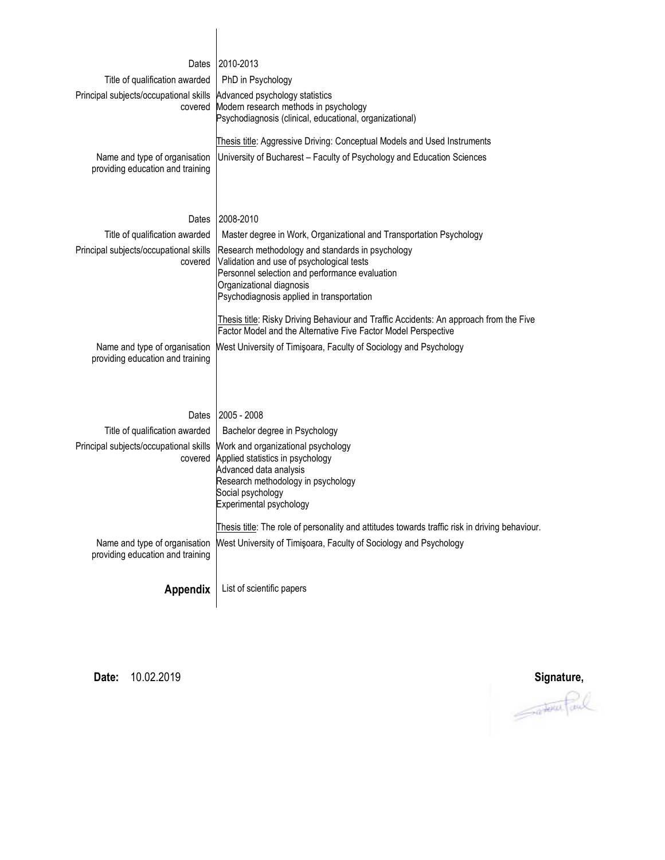| Dates                                                             | 2010-2013                                                                                                                                                                                                                |
|-------------------------------------------------------------------|--------------------------------------------------------------------------------------------------------------------------------------------------------------------------------------------------------------------------|
| Title of qualification awarded                                    | PhD in Psychology                                                                                                                                                                                                        |
| Principal subjects/occupational skills<br>covered                 | Advanced psychology statistics<br>Modern research methods in psychology<br>Psychodiagnosis (clinical, educational, organizational)                                                                                       |
|                                                                   | Thesis title: Aggressive Driving: Conceptual Models and Used Instruments                                                                                                                                                 |
| Name and type of organisation<br>providing education and training | University of Bucharest - Faculty of Psychology and Education Sciences                                                                                                                                                   |
| Dates                                                             | 2008-2010                                                                                                                                                                                                                |
| Title of qualification awarded                                    | Master degree in Work, Organizational and Transportation Psychology                                                                                                                                                      |
| Principal subjects/occupational skills<br>covered                 | Research methodology and standards in psychology<br>Validation and use of psychological tests<br>Personnel selection and performance evaluation<br>Organizational diagnosis<br>Psychodiagnosis applied in transportation |
|                                                                   | Thesis title: Risky Driving Behaviour and Traffic Accidents: An approach from the Five<br>Factor Model and the Alternative Five Factor Model Perspective                                                                 |
| Name and type of organisation<br>providing education and training | West University of Timişoara, Faculty of Sociology and Psychology                                                                                                                                                        |
| Dates                                                             | 2005 - 2008                                                                                                                                                                                                              |
| Title of qualification awarded                                    | Bachelor degree in Psychology                                                                                                                                                                                            |
| Principal subjects/occupational skills<br>covered                 | Work and organizational psychology<br>Applied statistics in psychology<br>Advanced data analysis<br>Research methodology in psychology<br>Social psychology<br>Experimental psychology                                   |
| Name and type of organisation<br>providing education and training | Thesis title: The role of personality and attitudes towards traffic risk in driving behaviour.<br>West University of Timişoara, Faculty of Sociology and Psychology                                                      |
| Appendix                                                          | List of scientific papers                                                                                                                                                                                                |

**Date:** 10.02.2019 **Signature,**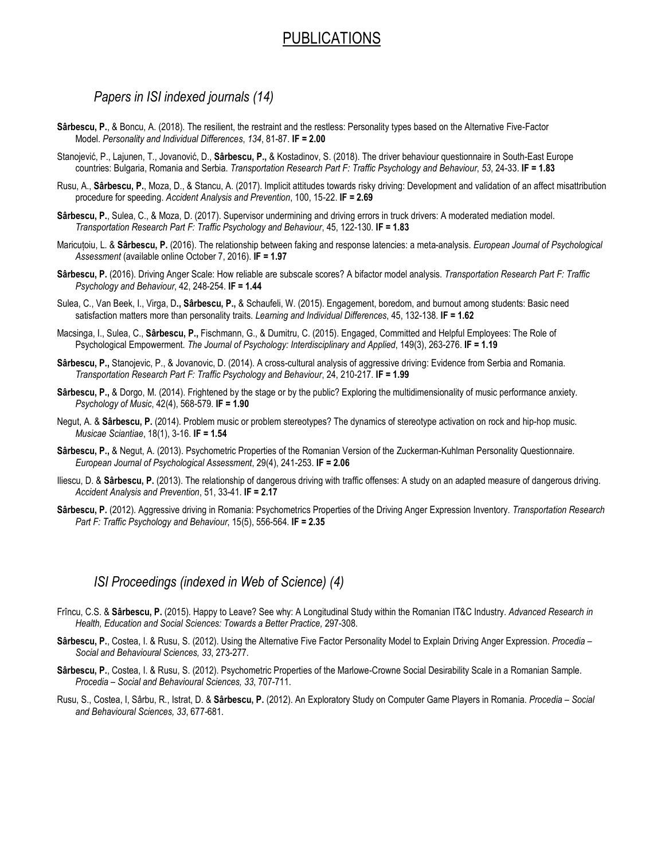## PUBLICATIONS

 *Papers in ISI indexed journals (14)*

- **Sârbescu, P.**, & Boncu, A. (2018). The resilient, the restraint and the restless: Personality types based on the Alternative Five-Factor Model. *Personality and Individual Differences*, *134*, 81-87. **IF = 2.00**
- Stanojević, P., Lajunen, T., Jovanović, D., **Sârbescu, P.,** & Kostadinov, S. (2018). The driver behaviour questionnaire in South-East Europe countries: Bulgaria, Romania and Serbia. *Transportation Research Part F: Traffic Psychology and Behaviour*, *53*, 24-33. **IF = 1.83**
- Rusu, A., **Sârbescu, P.**, Moza, D., & Stancu, A. (2017). Implicit attitudes towards risky driving: Development and validation of an affect misattribution procedure for speeding. *Accident Analysis and Prevention*, 100, 15-22. **IF = 2.69**
- Sârbescu, P., Sulea, C., & Moza, D. (2017). Supervisor undermining and driving errors in truck drivers: A moderated mediation model. *Transportation Research Part F: Traffic Psychology and Behaviour*, 45, 122-130. **IF = 1.83**
- Maricuțoiu, L. & **Sârbescu, P.** (2016). The relationship between faking and response latencies: a meta-analysis. *European Journal of Psychological Assessment* (available online October 7, 2016). **IF = 1.97**
- **Sârbescu, P.** (2016). Driving Anger Scale: How reliable are subscale scores? A bifactor model analysis. *Transportation Research Part F: Traffic Psychology and Behaviour*, 42, 248-254. **IF = 1.44**
- Sulea, C., Van Beek, I., Virga, D**., Sârbescu, P.,** & Schaufeli, W. (2015). Engagement, boredom, and burnout among students: Basic need satisfaction matters more than personality traits*. Learning and Individual Differences*, 45, 132-138. **IF = 1.62**
- Macsinga, I., Sulea, C., **Sârbescu, P.,** Fischmann, G., & Dumitru, C. (2015). Engaged, Committed and Helpful Employees: The Role of Psychological Empowerment. *The Journal of Psychology: Interdisciplinary and Applied*, 149(3), 263-276. **IF = 1.19**
- **Sârbescu, P.,** Stanojevic, P., & Jovanovic, D. (2014). A cross-cultural analysis of aggressive driving: Evidence from Serbia and Romania. *Transportation Research Part F: Traffic Psychology and Behaviour*, 24, 210-217. **IF = 1.99**
- **Sârbescu, P.,** & Dorgo, M. (2014). Frightened by the stage or by the public? Exploring the multidimensionality of music performance anxiety*. Psychology of Music*, 42(4), 568-579. **IF = 1.90**
- Negut, A. & **Sârbescu, P.** (2014). Problem music or problem stereotypes? The dynamics of stereotype activation on rock and hip-hop music. *Musicae Sciantiae*, 18(1), 3-16. **IF = 1.54**
- **Sârbescu, P.,** & Negut, A. (2013). Psychometric Properties of the Romanian Version of the Zuckerman-Kuhlman Personality Questionnaire. *European Journal of Psychological Assessment*, 29(4), 241-253. **IF = 2.06**
- Iliescu, D. & **Sârbescu, P.** (2013). The relationship of dangerous driving with traffic offenses: A study on an adapted measure of dangerous driving*. Accident Analysis and Prevention*, 51, 33-41. **IF = 2.17**
- **Sârbescu, P.** (2012). Aggressive driving in Romania: Psychometrics Properties of the Driving Anger Expression Inventory. *Transportation Research Part F: Traffic Psychology and Behaviour*, 15(5), 556-564. **IF = 2.35**

### *ISI Proceedings (indexed in Web of Science) (4)*

- Frîncu, C.S. & **Sârbescu, P.** (2015). Happy to Leave? See why: A Longitudinal Study within the Romanian IT&C Industry. *Advanced Research in Health, Education and Social Sciences: Towards a Better Practice,* 297-308.
- **Sârbescu, P.**, Costea, I. & Rusu, S. (2012). Using the Alternative Five Factor Personality Model to Explain Driving Anger Expression. *Procedia Social and Behavioural Sciences, 33*, 273-277.
- **Sârbescu, P.**, Costea, I. & Rusu, S. (2012). Psychometric Properties of the Marlowe-Crowne Social Desirability Scale in a Romanian Sample. *Procedia – Social and Behavioural Sciences, 33*, 707-711.
- Rusu, S., Costea, I, Sârbu, R., Istrat, D. & **Sârbescu, P.** (2012). An Exploratory Study on Computer Game Players in Romania. *Procedia Social and Behavioural Sciences, 33*, 677-681.